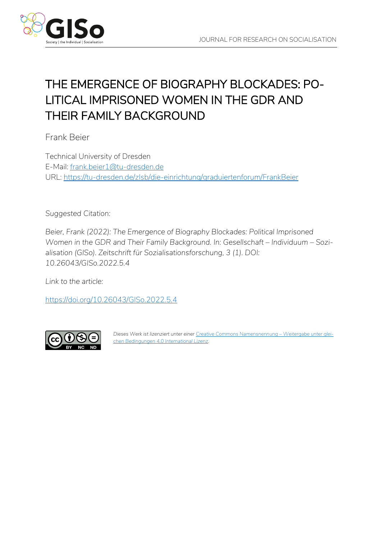

# THE EMERGENCE OF BIOGRAPHY BLOCKADES: PO-LITICAL IMPRISONED WOMEN IN THE GDR AND THEIR FAMILY BACKGROUND

Frank Beier

Technical University of Dresden E-Mail: [frank.beier1@tu-dresden.de](mailto:frank.beier1@tu-dresden.de) URL:<https://tu-dresden.de/zlsb/die-einrichtung/graduiertenforum/FrankBeier>

*Suggested Citation:*

*Beier, Frank (2022): The Emergence of Biography Blockades: Political Imprisoned Women in the GDR and Their Family Background. In: Gesellschaft – Individuum – Sozialisation (GISo). Zeitschrift für Sozialisationsforschung, 3 (1). DOI: 10.26043/GISo.2022.5.4*

*Link to the article:*

<https://doi.org/10.26043/GISo.2022.5.4>



*Dieses Werk ist lizenziert unter einer Creative Commons Namensnennung – [Weitergabe unter glei](https://creativecommons.org/licenses/by-nc-nd/4.0/deed.de)[chen Bedingungen 4.0 International Lizenz.](https://creativecommons.org/licenses/by-nc-nd/4.0/deed.de)*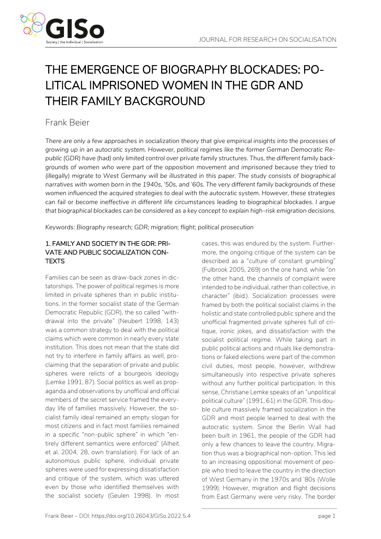

# THE EMERGENCE OF BIOGRAPHY BLOCKADES: PO-LITICAL IMPRISONED WOMEN IN THE GDR AND THEIR FAMILY BACKGROUND

# Frank Beier

*There are only a few approaches in socialization theory that give empirical insights into the processes of growing up in an autocratic system. However, political regimes like the former German Democratic Republic (GDR) have (had) only limited control over private family structures. Thus, the different family backgrounds of women who were part of the opposition movement and imprisoned because they tried to (illegally) migrate to West Germany will be illustrated in this paper. The study consists of biographical narratives with women born in the 1940s, '50s, and '60s. The very different family backgrounds of these women influenced the acquired strategies to deal with the autocratic system. However, these strategies can fail or become ineffective in different life circumstances leading to biographical blockades. I argue that biographical blockades can be considered as a key concept to explain high-risk emigration decisions.* 

*Keywords: Biography research; GDR; migration; flight; political prosecution*

## 1. FAMILY AND SOCIETY IN THE GDR: PRI-VATE AND PUBLIC SOCIALIZATION CON-TEXTS

Families can be seen as draw-back zones in dictatorships. The power of political regimes is more limited in private spheres than in public institutions. In the former socialist state of the German Democratic Republic (GDR), the so called "withdrawal into the private" (Neubert 1998, 143) was a common strategy to deal with the political claims which were common in nearly every state institution. This does not mean that the state did not try to interfere in family affairs as well, proclaiming that the separation of private and public spheres were relicts of a bourgeois ideology (Lemke 1991, 87). Social politics as well as propaganda and observations by unofficial and official members of the secret service framed the everyday life of families massively. However, the socialist family ideal remained an empty slogan for most citizens and in fact most families remained in a specific "non-public sphere" in which "entirely different semantics were enforced" (Alheit et al. 2004, 28, own translation). For lack of an autonomous public sphere, individual private spheres were used for expressing dissatisfaction and critique of the system, which was uttered even by those who identified themselves with the socialist society (Geulen 1998). In most cases, this was endured by the system. Furthermore, the ongoing critique of the system can be described as a "culture of constant grumbling" (Fulbrook 2005, 269) on the one hand, while "on the other hand, the channels of complaint were intended to be individual, rather than collective, in character" (ibid.). Socialization processes were framed by both the political socialist claims in the holistic and state controlled public sphere and the unofficial fragmented private spheres full of critique, ironic jokes, and dissatisfaction with the socialist political regime. While taking part in public political actions and rituals like demonstrations or faked elections were part of the common civil duties, most people, however, withdrew simultaneously into respective private spheres without any further political participation. In this sense, Christiane Lemke speaks of an "unpolitical political culture" (1991, 61) in the GDR. This double culture massively framed socialization in the GDR and most people learned to deal with the autocratic system. Since the Berlin Wall had been built in 1961, the people of the GDR had only a few chances to leave the country. Migration thus was a biographical non-option. This led to an increasing oppositional movement of people who tried to leave the country in the direction of West Germany in the 1970s and '80s (Wolle 1999). However, migration and flight decisions from East Germany were very risky. The border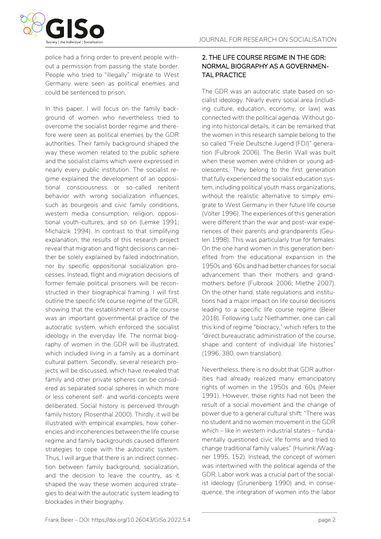

police had a firing order to prevent people without a permission from passing the state border. People who tried to "illegally" migrate to West Germany were seen as political enemies and could be sentenced to prison.

In this paper, I will focus on the family background of women who nevertheless tried to overcome the socialist border regime and therefore were seen as political enemies by the GDR authorities. Their family background shaped the way these women related to the public sphere and the socialist claims which were expressed in nearly every public institution. The socialist regime explained the development of an oppositional consciousness or so-called renitent behavior with wrong socialization influences, such as bourgeois and civic family conditions, western media consumption, religion, oppositional youth-cultures, and so on (Lemke 1991; Michalzik 1994). In contrast to that simplifying explanation, the results of this research project reveal that migration and flight decisions can neither be solely explained by failed indoctrination, nor by specific oppositional socialization processes. Instead, flight and migration decisions of former female political prisoners will be reconstructed in their biographical framing. I will first outline the specific life course regime of the GDR, showing that the establishment of a life course was an important governmental practice of the autocratic system, which enforced the socialist ideology in the everyday life. The normal biography of women in the GDR will be illustrated, which included living in a family as a dominant cultural pattern. Secondly, several research projects will be discussed, which have revealed that family and other private spheres can be considered as separated social spheres in which more or less coherent self- and world-concepts were deliberated. Social history is perceived through family history (Rosenthal 2000). Thirdly, it will be illustrated with empirical examples, how coherencies and incoherencies between the life course regime and family backgrounds caused different strategies to cope with the autocratic system. Thus, I will argue that there is an indirect connection between family background, socialization, and the decision to leave the country, as it shaped the way these women acquired strategies to deal with the autocratic system leading to blockades in their biography.

### 2. THE LIFE COURSE REGIME IN THE GDR: NORMAL BIOGRAPHY AS A GOVERNMEN-TAL PRACTICE

The GDR was an autocratic state based on socialist ideology. Nearly every social area (including culture, education, economy, or law) was connected with the political agenda. Without going into historical details, it can be remarked that the women in this research sample belong to the so called "Freie Deutsche Jugend (FDJ)" generation (Fulbrook 2006). The Berlin Wall was built when these women were children or young adolescents. They belong to the first generation that fully experienced the socialist education system, including political youth mass organizations, without the realistic alternative to simply emigrate to West Germany in their future life course (Völter 1996). The experiences of this generation were different than the war and post-war experiences of their parents and grandparents (Geulen 1998). This was particularly true for females: On the one hand women in this generation benefited from the educational expansion in the 1950s and '60s and had better chances for social advancement than their mothers and grandmothers before (Fulbrook 2006; Miethe 2007). On the other hand, state regulations and institutions had a major impact on life course decisions leading to a specific life course regime (Beier 2018). Following Lutz Niethammer, one can call this kind of regime "biocracy," which refers to the "direct bureaucratic administration of the course, shape and content of individual life histories" (1996, 380, own translation).

Nevertheless, there is no doubt that GDR authorities had already realized many emancipatory rights of women in the 1950s and '60s (Meier 1991). However, those rights had not been the result of a social movement and the change of power due to a general cultural shift: "There was no student and no women movement in the GDR which – like in western industrial states – fundamentally questioned civic life forms and tried to change traditional family values" (Huinink /Wagner 1995, 152). Instead, the concept of women was intertwined with the political agenda of the GDR. Labor work was a crucial part of the socialist ideology (Grunenberg 1990) and, in consequence, the integration of women into the labor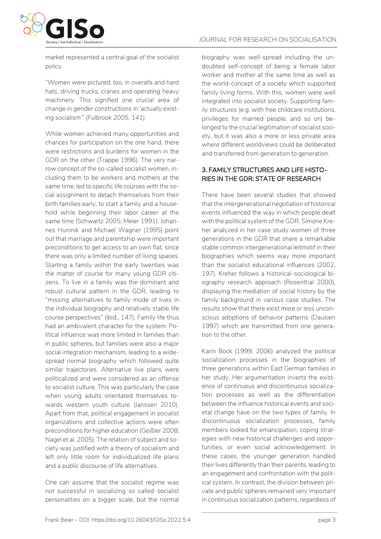JOURNAL FOR RESEARCH ON SOCIALISATION

market represented a central goal of the socialist policy.

*"Women were pictured, too, in overalls and hard hats, driving trucks, cranes and operating heavy machinery. This signified one crucial area of change in gender constructions in 'actually existing socialism'" (Fulbrook 2005, 141).*

While women achieved many opportunities and chances for participation on the one hand, there were restrictions and burdens for women in the GDR on the other (Trappe 1996). The very narrow concept of the so-called socialist women, including them to be workers and mothers at the same time, led to specific life courses with the social assignment to detach themselves from their birth families early, to start a family and a household while beginning their labor career at the same time (Schwartz 2005; Meier 1991). Johannes Huninik and Michael Wagner (1995) point out that marriage and parentship were important preconditions to get access to an own flat, since there was only a limited number of living spaces. Starting a family within the early twenties was the matter of course for many young GDR citizens. To live in a family was the dominant and robust cultural pattern in the GDR, leading to "missing alternatives to family mode of lives in the individual biography and relatively stable life course perspectives" (ibid., 147). Family life thus had an ambivalent character for the system: Political influence was more limited in families than in public spheres, but families were also a major social integration mechanism, leading to a widespread normal biography which followed quite similar trajectories. Alternative live plans were politicalized and were considered as an offense to socialist culture. This was particularly the case when young adults orientated themselves towards western youth culture (Janssen 2010). Apart from that, political engagement in socialist organizations and collective actions were often preconditions for higher education (Geißler 2008; Nagel et al. 2005). The relation of subject and society was justified with a theory of socialism and left only little room for individualized life plans and a public discourse of life alternatives.

One can assume that the socialist regime was not successful in socializing so called socialist personalities on a bigger scale, but the normal biography was well-spread including the undoubted self-concept of being a female labor worker and mother at the same time as well as the world-concept of a society which supported family living forms. With this, women were well integrated into socialist society. Supporting family structures (e.g. with free childcare institutions, privileges for married people, and so on) belonged to the crucial legitimation of socialist society, but it was also a more or less private area where different worldviews could be deliberated and transferred from generation to generation.

#### 3. FAMILY STRUCTURES AND LIFE HISTO-RIES IN THE GDR: STATE OF RESEARCH

There have been several studies that showed that the intergenerational negotiation of historical events influenced the way in which people dealt with the political system of the GDR. Simone Kreher analyzed in her case study women of three generations in the GDR that share a remarkable stable common intergenerational leitmotif in their biographies which seems way more important than the socialist educational influences (2002, 197). Kreher follows a historical-sociological biography research approach (Rosenthal 2000), displaying the mediation of social history by the family background in various case studies. The results show that there exist more or less unconscious adoptions of behavior patterns (Dausien 1997) which are transmitted from one generation to the other.

Karin Bock (1999, 2006) analyzed the political socialization processes in the biographies of three generations within East German families in her study. Her argumentation inverts the existence of continuous and discontinuous socialization processes as well as the differentiation between the influence historical events and societal change have on the two types of family. In discontinuous socialization processes, family members looked for emancipation, coping strategies with new historical challenges and opportunities, or even social acknowledgement. In these cases, the younger generation handled their lives differently than their parents, leading to an engagement and confrontation with the political system. In contrast, the division between private and public spheres remained very important in continuous socialization patterns, regardless of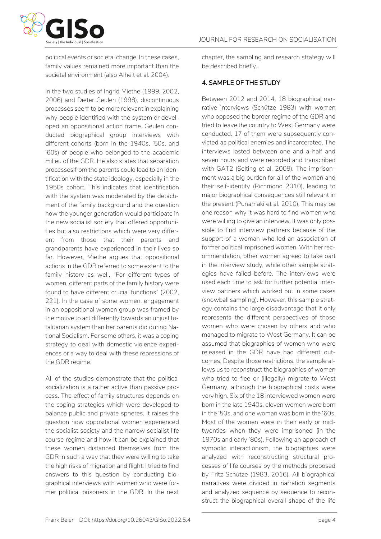

political events or societal change. In these cases, family values remained more important than the societal environment (also Alheit et al. 2004).

In the two studies of Ingrid Miethe (1999, 2002, 2006) and Dieter Geulen (1998), discontinuous processes seem to be more relevant in explaining why people identified with the system or developed an oppositional action frame. Geulen conducted biographical group interviews with different cohorts (born in the 1940s, '50s, and '60s) of people who belonged to the academic milieu of the GDR. He also states that separation processes from the parents could lead to an identification with the state ideology, especially in the 1950s cohort. This indicates that identification with the system was moderated by the detachment of the family background and the question how the younger generation would participate in the new socialist society that offered opportunities but also restrictions which were very different from those that their parents and grandparents have experienced in their lives so far. However, Miethe argues that oppositional actions in the GDR referred to some extent to the family history as well. "For different types of women, different parts of the family history were found to have different crucial functions" (2002, 221). In the case of some women, engagement in an oppositional women group was framed by the motive to act differently towards an unjust totalitarian system than her parents did during National Socialism. For some others, it was a coping strategy to deal with domestic violence experiences or a way to deal with these repressions of the GDR regime.

All of the studies demonstrate that the political socialization is a rather active than passive process. The effect of family structures depends on the coping strategies which were developed to balance public and private spheres. It raises the question how oppositional women experienced the socialist society and the narrow socialist life course regime and how it can be explained that these women distanced themselves from the GDR in such a way that they were willing to take the high risks of migration and flight. I tried to find answers to this question by conducting biographical interviews with women who were former political prisoners in the GDR. In the next chapter, the sampling and research strategy will be described briefly.

#### 4. SAMPLE OF THE STUDY

Between 2012 and 2014, 18 biographical narrative interviews (Schütze 1983) with women who opposed the border regime of the GDR and tried to leave the country to West Germany were conducted. 17 of them were subsequently convicted as political enemies and incarcerated. The interviews lasted between one and a half and seven hours and were recorded and transcribed with GAT2 (Selting et al. 2009). The imprisonment was a big burden for all of the women and their self-identity (Richmond 2010), leading to major biographical consequences still relevant in the present (Punamäki et al. 2010). This may be one reason why it was hard to find women who were willing to give an interview. It was only possible to find interview partners because of the support of a woman who led an association of former political imprisoned women. With her recommendation, other women agreed to take part in the interview study, while other sample strategies have failed before. The interviews were used each time to ask for further potential interview partners which worked out in some cases (snowball sampling). However, this sample strategy contains the large disadvantage that it only represents the different perspectives of those women who were chosen by others and who managed to migrate to West Germany. It can be assumed that biographies of women who were released in the GDR have had different outcomes. Despite those restrictions, the sample allows us to reconstruct the biographies of women who tried to flee or (illegally) migrate to West Germany, although the biographical costs were very high. Six of the 18 interviewed women were born in the late 1940s, eleven women were born in the '50s, and one woman was born in the '60s. Most of the women were in their early or midtwenties when they were imprisoned (in the 1970s and early '80s). Following an approach of symbolic interactionism, the biographies were analyzed with reconstructing structural processes of life courses by the methods proposed by Fritz Schütze (1983, 2016). All biographical narratives were divided in narration segments and analyzed sequence by sequence to reconstruct the biographical overall shape of the life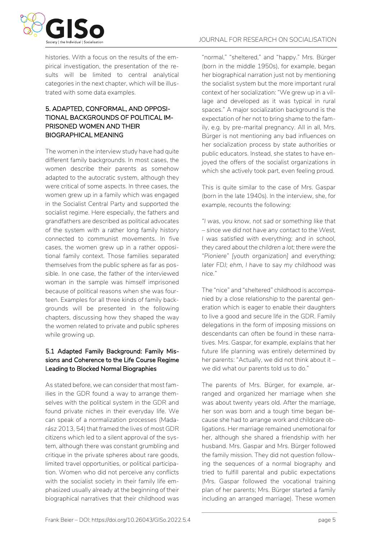

histories. With a focus on the results of the empirical investigation, the presentation of the results will be limited to central analytical categories in the next chapter, which will be illustrated with some data examples.

### 5. ADAPTED, CONFORMAL, AND OPPOSI-TIONAL BACKGROUNDS OF POLITICAL IM-PRISONED WOMEN AND THEIR BIOGRAPHICAL MEANING

The women in the interview study have had quite different family backgrounds. In most cases, the women describe their parents as somehow adapted to the autocratic system, although they were critical of some aspects. In three cases, the women grew up in a family which was engaged in the Socialist Central Party and supported the socialist regime. Here especially, the fathers and grandfathers are described as political advocates of the system with a rather long family history connected to communist movements. In five cases, the women grew up in a rather oppositional family context. Those families separated themselves from the public sphere as far as possible. In one case, the father of the interviewed woman in the sample was himself imprisoned because of political reasons when she was fourteen. Examples for all three kinds of family backgrounds will be presented in the following chapters, discussing how they shaped the way the women related to private and public spheres while growing up.

#### 5.1 Adapted Family Background: Family Missions and Coherence to the Life Course Regime Leading to Blocked Normal Biographies

As stated before, we can consider that most families in the GDR found a way to arrange themselves with the political system in the GDR and found private niches in their everyday life. We can speak of a normalization processes (Madarász 2013, 54) that framed the lives of most GDR citizens which led to a silent approval of the system, although there was constant grumbling and critique in the private spheres about rare goods, limited travel opportunities, or political participation. Women who did not perceive any conflicts with the socialist society in their family life emphasized usually already at the beginning of their biographical narratives that their childhood was

"normal," "sheltered," and "happy." Mrs. Bürger (born in the middle 1950s), for example, began her biographical narration just not by mentioning the socialist system but the more important rural context of her socialization: "We grew up in a village and developed as it was typical in rural spaces." A major socialization background is the expectation of her not to bring shame to the family, e.g. by pre-marital pregnancy. All in all, Mrs. Bürger is not mentioning any bad influences on her socialization process by state authorities or public educators. Instead, she states to have enjoyed the offers of the socialist organizations in which she actively took part, even feeling proud.

This is quite similar to the case of Mrs. Gaspar (born in the late 1940s). In the interview, she, for example, recounts the following:

*"I was, you know, not sad or something like that – since we did not have any contact to the West, I was satisfied with everything; and in school, they cared about the children a lot; there were the "Pioniere" [youth organization] and everything; later FDJ; ehm, I have to say my childhood was nice."* 

The "nice" and "sheltered" childhood is accompanied by a close relationship to the parental generation which is eager to enable their daughters to live a good and secure life in the GDR. Family delegations in the form of imposing missions on descendants can often be found in these narratives. Mrs. Gaspar, for example, explains that her future life planning was entirely determined by her parents: "Actually, we did not think about it – we did what our parents told us to do."

The parents of Mrs. Bürger, for example, arranged and organized her marriage when she was about twenty years old. After the marriage, her son was born and a tough time began because she had to arrange work and childcare obligations. Her marriage remained unemotional for her, although she shared a friendship with her husband. Mrs. Gaspar and Mrs. Bürger followed the family mission. They did not question following the sequences of a normal biography and tried to fulfill parental and public expectations (Mrs. Gaspar followed the vocational training plan of her parents; Mrs. Bürger started a family including an arranged marriage). These women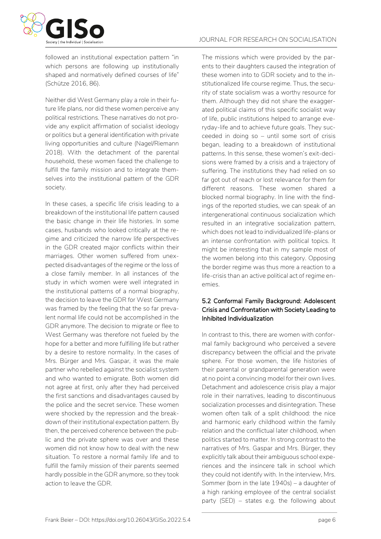

followed an institutional expectation pattern "in which persons are following up institutionally shaped and normatively defined courses of life" (Schütze 2016, 86).

Neither did West Germany play a role in their future life plans, nor did these women perceive any political restrictions. These narratives do not provide any explicit affirmation of socialist ideology or politics but a general identification with private living opportunities and culture (Nagel/Riemann 2018). With the detachment of the parental household, these women faced the challenge to fulfill the family mission and to integrate themselves into the institutional pattern of the GDR society.

In these cases, a specific life crisis leading to a breakdown of the institutional life pattern caused the basic change in their life histories. In some cases, husbands who looked critically at the regime and criticized the narrow life perspectives in the GDR created major conflicts within their marriages. Other women suffered from unexpected disadvantages of the regime or the loss of a close family member. In all instances of the study in which women were well integrated in the institutional patterns of a normal biography, the decision to leave the GDR for West Germany was framed by the feeling that the so far prevalent normal life could not be accomplished in the GDR anymore. The decision to migrate or flee to West Germany was therefore not fueled by the hope for a better and more fulfilling life but rather by a desire to restore normality. In the cases of Mrs. Bürger and Mrs. Gaspar, it was the male partner who rebelled against the socialist system and who wanted to emigrate. Both women did not agree at first, only after they had perceived the first sanctions and disadvantages caused by the police and the secret service. These women were shocked by the repression and the breakdown of their institutional expectation pattern. By then, the perceived coherence between the public and the private sphere was over and these women did not know how to deal with the new situation. To restore a normal family life and to fulfill the family mission of their parents seemed hardly possible in the GDR anymore, so they took action to leave the GDR.

The missions which were provided by the parents to their daughters caused the integration of these women into to GDR society and to the institutionalized life course regime. Thus, the security of state socialism was a worthy resource for them. Although they did not share the exaggerated political claims of this specific socialist way of life, public institutions helped to arrange everyday-life and to achieve future goals. They succeeded in doing so – until some sort of crisis began, leading to a breakdown of institutional patterns. In this sense, these women's exit-decisions were framed by a crisis and a trajectory of suffering. The institutions they had relied on so far got out of reach or lost relevance for them for different reasons. These women shared a blocked normal biography. In line with the findings of the reported studies, we can speak of an intergenerational continuous socialization which resulted in an integrative socialization pattern, which does not lead to individualized life-plans or an intense confrontation with political topics. It might be interesting that in my sample most of the women belong into this category. Opposing the border regime was thus more a reaction to a life-crisis than an active political act of regime enemies.

#### 5.2 Conformal Family Background: Adolescent Crisis and Confrontation with Society Leading to Inhibited Individualization

In contrast to this, there are women with conformal family background who perceived a severe discrepancy between the official and the private sphere. For those women, the life histories of their parental or grandparental generation were at no point a convincing model for their own lives. Detachment and adolescence crisis play a major role in their narratives, leading to discontinuous socialization processes and disintegration. These women often talk of a split childhood: the nice and harmonic early childhood within the family relation and the conflictual later childhood, when politics started to matter. In strong contrast to the narratives of Mrs. Gaspar and Mrs. Bürger, they explicitly talk about their ambiguous school experiences and the insincere talk in school which they could not identify with. In the interview, Mrs. Sommer (born in the late 1940s) – a daughter of a high ranking employee of the central socialist party (SED) – states e.g. the following about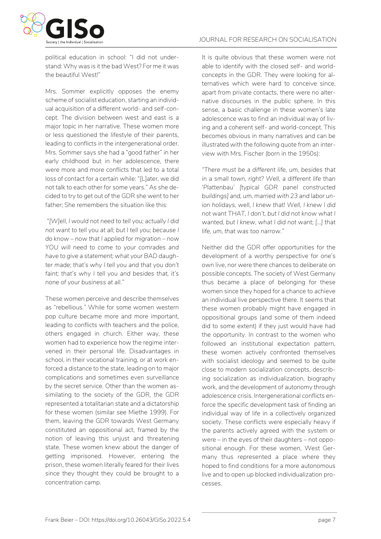

political education in school: "I did not understand: Why was is it the bad West? For me it was the beautiful West!"

Mrs. Sommer explicitly opposes the enemy scheme of socialist education, starting an individual acquisition of a different world- and self-concept. The division between west and east is a major topic in her narrative. These women more or less questioned the lifestyle of their parents, leading to conflicts in the intergenerational order. Mrs. Sommer says she had a "good father" in her early childhood but in her adolescence, there were more and more conflicts that led to a total loss of contact for a certain while: "[L]ater, we did not talk to each other for some years." As she decided to try to get out of the GDR she went to her father; She remembers the situation like this:

*"[W]ell, I would not need to tell you; actually I did not want to tell you at all; but I tell you; because I do know – now that I applied for migration – now YOU will need to come to your comrades and have to give a statement; what your BAD daughter made; that's why I tell you and that you don't faint; that's why I tell you and besides that, it's none of your business at all."*

These women perceive and describe themselves as "rebellious." While for some women western pop culture became more and more important, leading to conflicts with teachers and the police, others engaged in church. Either way, these women had to experience how the regime intervened in their personal life. Disadvantages in school, in their vocational training, or at work enforced a distance to the state, leading on to major complications and sometimes even surveillance by the secret service. Other than the women assimilating to the society of the GDR, the GDR represented a totalitarian state and a dictatorship for these women (similar see Miethe 1999). For them, leaving the GDR towards West Germany constituted an oppositional act, framed by the notion of leaving this unjust and threatening state. These women knew about the danger of getting imprisoned. However, entering the prison, these women literally feared for their lives since they thought they could be brought to a concentration camp.

It is quite obvious that these women were not able to identify with the closed self- and worldconcepts in the GDR. They were looking for alternatives which were hard to conceive since, apart from private contacts, there were no alternative discourses in the public sphere. In this sense, a basic challenge in these women's late adolescence was to find an individual way of living and a coherent self- and world-concept. This becomes obvious in many narratives and can be illustrated with the following quote from an interview with Mrs. Fischer (born in the 1950s):

*"There must be a different life, um, besides that in a small town, right? Well, a different life than 'Plattenbau' [typical GDR panel constructed buildings] and, um, married with 23 and labor union holidays, well, I knew that! Well, I knew I did not want THAT, I don't, but I did not know what I wanted, but I knew, what I did not want; […] that life, um, that was too narrow."*

Neither did the GDR offer opportunities for the development of a worthy perspective for one's own live, nor were there chances to deliberate on possible concepts. The society of West Germany thus became a place of belonging for these women since they hoped for a chance to achieve an individual live perspective there. It seems that these women probably might have engaged in oppositional groups (and some of them indeed did to some extent) if they just would have had the opportunity. In contrast to the women who followed an institutional expectation pattern, these women actively confronted themselves with socialist ideology and seemed to be quite close to modern socialization concepts, describing socialization as individualization, biography work, and the development of autonomy through adolescence crisis. Intergenerational conflicts enforce the specific development task of finding an individual way of life in a collectively organized society. These conflicts were especially heavy if the parents actively agreed with the system or were – in the eyes of their daughters – not oppositional enough. For these women, West Germany thus represented a place where they hoped to find conditions for a more autonomous live and to open up blocked individualization processes.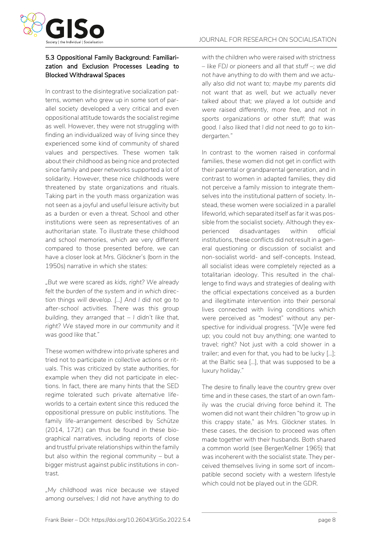

#### 5.3 Oppositional Family Background: Familiarization and Exclusion Processes Leading to Blocked Withdrawal Spaces

In contrast to the disintegrative socialization patterns, women who grew up in some sort of parallel society developed a very critical and even oppositional attitude towards the socialist regime as well. However, they were not struggling with finding an individualized way of living since they experienced some kind of community of shared values and perspectives. These women talk about their childhood as being nice and protected since family and peer networks supported a lot of solidarity. However, these nice childhoods were threatened by state organizations and rituals. Taking part in the youth mass organization was not seen as a joyful and useful leisure activity but as a burden or even a threat. School and other institutions were seen as representatives of an authoritarian state. To illustrate these childhood and school memories, which are very different compared to those presented before, we can have a closer look at Mrs. Glöckner's (born in the 1950s) narrative in which she states:

*"But we were scared as kids, right? We already felt the burden of the system and in which direction things will develop. […] And I did not go to after-school activities. There was this group building, they arranged that – I didn't like that, right? We stayed more in our community and it was good like that."* 

These women withdrew into private spheres and tried not to participate in collective actions or rituals. This was criticized by state authorities, for example when they did not participate in elections. In fact, there are many hints that the SED regime tolerated such private alternative lifeworlds to a certain extent since this reduced the oppositional pressure on public institutions. The family life-arrangement described by Schütze (2014, 172f.) can thus be found in these biographical narratives, including reports of close and trustful private relationships within the family but also within the regional community – but a bigger mistrust against public institutions in contrast.

*"My childhood was nice because we stayed among ourselves; I did not have anything to do* 

*with the children who were raised with strictness – like FDJ or pioneers and all that stuff –; we did not have anything to do with them and we actually also did not want to; maybe my parents did not want that as well, but we actually never talked about that; we played a lot outside and were raised differently, more free, and not in sports organizations or other stuff; that was good. I also liked that I did not need to go to kindergarten."* 

In contrast to the women raised in conformal families, these women did not get in conflict with their parental or grandparental generation, and in contrast to women in adapted families, they did not perceive a family mission to integrate themselves into the institutional pattern of society. Instead, these women were socialized in a parallel lifeworld, which separated itself as far it was possible from the socialist society. Although they experienced disadvantages within official institutions, these conflicts did not result in a general questioning or discussion of socialist and non-socialist world- and self-concepts. Instead, all socialist ideas were completely rejected as a totalitarian ideology. This resulted in the challenge to find ways and strategies of dealing with the official expectations conceived as a burden and illegitimate intervention into their personal lives connected with living conditions which were perceived as "modest" without any perspective for individual progress. "[W]e were fed up; you could not buy anything; one wanted to travel; right? Not just with a cold shower in a trailer; and even for that, you had to be lucky […]; at the Baltic sea […], that was supposed to be a luxury holiday."

The desire to finally leave the country grew over time and in these cases, the start of an own family was the crucial driving force behind it. The women did not want their children "to grow up in this crappy state," as Mrs. Glöckner states. In these cases, the decision to proceed was often made together with their husbands. Both shared a common world (see Berger/Kellner 1965) that was incoherent with the socialist state. They perceived themselves living in some sort of incompatible second society with a western lifestyle which could not be played out in the GDR.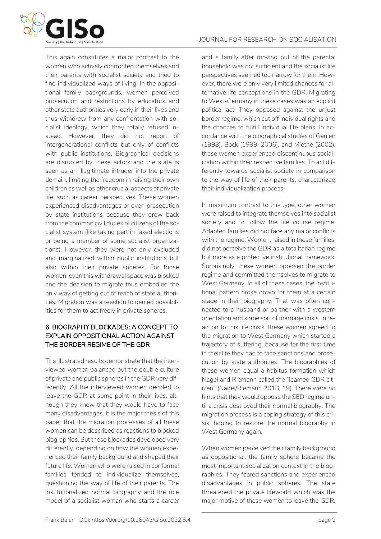

This again constitutes a major contrast to the women who actively confronted themselves and their parents with socialist society and tried to find individualized ways of living. In the oppositional family backgrounds, women perceived prosecution and restrictions by educators and other state authorities very early in their lives and thus withdrew from any confrontation with socialist ideology, which they totally refused instead. However, they did not report of intergenerational conflicts but only of conflicts with public institutions. Biographical decisions are disrupted by these actors and the state is seen as an illegitimate intruder into the private domain, limiting the freedom in raising their own children as well as other crucial aspects of private life, such as career perspectives. These women experienced disadvantages or even prosecution by state institutions because they drew back from the common civil duties of citizens of the socialist system (like taking part in faked elections or being a member of some socialist organizations). However, they were not only excluded and marginalized within public institutions but also within their private spheres. For those women, even this withdrawal space was blocked and the decision to migrate thus embodied the only way of getting out of reach of state authorities. Migration was a reaction to denied possibilities for them to act freely in private spheres.

### 6. BIOGRAPHY BLOCKADES: A CONCEPT TO EXPLAIN OPPOSITIONAL ACTION AGAINST THE BORDER REGIME OF THE GDR

The illustrated results demonstrate that the interviewed women balanced out the double culture of private and public spheres in the GDR very differently. All the interviewed women decided to leave the GDR at some point in their lives, although they knew that they would have to face many disadvantages. It is the major thesis of this paper that the migration processes of all these women can be described as reactions to blocked biographies. But these blockades developed very differently, depending on how the women experienced their family background and shaped their future life: Women who were raised in conformal families tended to individualize themselves, questioning the way of life of their parents. The institutionalized normal biography and the role model of a socialist woman who starts a career and a family after moving out of the parental household was not sufficient and the socialist life perspectives seemed too narrow for them. However, there were only very limited chances for alternative life conceptions in the GDR. Migrating to West-Germany in these cases was an explicit political act. They opposed against the unjust border regime, which cut off individual rights and the chances to fulfill individual life plans. In accordance with the biographical studies of Geulen (1998), Bock (1999, 2006), and Miethe (2002), these women experienced discontinuous socialization within their respective families. To act differently towards socialist society in comparison to the way of life of their parents, characterized their individualization process.

In maximum contrast to this type, other women were raised to integrate themselves into socialist society and to follow the life course regime. Adapted families did not face any major conflicts with the regime. Women, raised in these families, did not perceive the GDR as a totalitarian regime but more as a protective institutional framework. Surprisingly, these women opposed the border regime and committed themselves to migrate to West Germany. In all of these cases, the institutional pattern broke down for them at a certain stage in their biography. That was often connected to a husband or partner with a western orientation and some sort of marriage crisis. In reaction to this life crisis, these women agreed to the migration to West Germany which started a trajectory of suffering, because for the first time in their life they had to face sanctions and prosecution by state authorities. The biographies of these women equal a habitus formation which Nagel and Riemann called the "learned GDR citizen" (Nagel/Riemann 2018, 19). There were no hints that they would oppose the SED regime until a crisis destroyed their normal biography. The migration process is a coping strategy of this crisis, hoping to restore the normal biography in West Germany again.

When women perceived their family background as oppositional, the family sphere became the most important socialization context in the biographies. They feared sanctions and experienced disadvantages in public spheres. The state threatened the private lifeworld which was the major motive of these women to leave the GDR.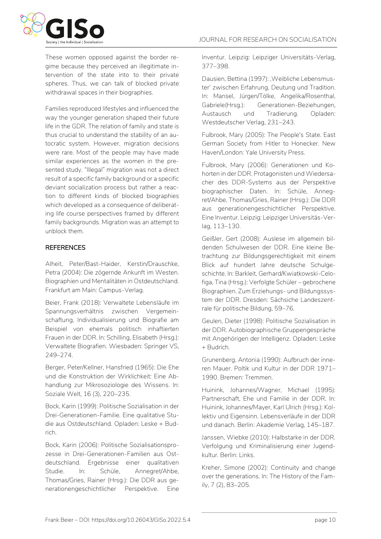

These women opposed against the border regime because they perceived an illegitimate intervention of the state into to their private spheres. Thus, we can talk of blocked private withdrawal spaces in their biographies.

Families reproduced lifestyles and influenced the way the younger generation shaped their future life in the GDR. The relation of family and state is thus crucial to understand the stability of an autocratic system. However, migration decisions were rare. Most of the people may have made similar experiences as the women in the presented study. "Illegal" migration was not a direct result of a specific family background or a specific deviant socialization process but rather a reaction to different kinds of blocked biographies which developed as a consequence of deliberating life course perspectives framed by different family backgrounds. Migration was an attempt to unblock them.

#### **REFERENCES**

Alheit, Peter/Bast-Haider, Kerstin/Drauschke, Petra (2004): Die zögernde Ankunft im Westen. Biographien und Mentalitäten in Ostdeutschland. Frankfurt am Main: Campus-Verlag.

Beier, Frank (2018): Verwaltete Lebensläufe im Spannungsverhältnis zwischen Vergemeinschaftung, Individualisierung und Biografie am Beispiel von ehemals politisch inhaftierten Frauen in der DDR. In: Schilling, Elisabeth (Hrsg.): Verwaltete Biografien. Wiesbaden: Springer VS, 249–274.

Berger, Peter/Kellner, Hansfried (1965): Die Ehe und die Konstruktion der Wirklichkeit: Eine Abhandlung zur Mikrosoziologie des Wissens. In: Soziale Welt, 16 (3), 220–235.

Bock, Karin (1999): Politische Sozialisation in der Drei-Generationen-Familie. Eine qualitative Studie aus Ostdeutschland. Opladen: Leske + Budrich.

Bock, Karin (2006): Politische Sozialisationsprozesse in Drei-Generationen-Familien aus Ostdeutschland. Ergebnisse einer qualitativen Studie. In: Schüle, Annegret/Ahbe, Thomas/Gries, Rainer (Hrsg.): Die DDR aus generationengeschichtlicher Perspektive. Eine Inventur. Leipzig: Leipziger Universitäts-Verlag, 377–398.

Dausien, Bettina (1997): , Weibliche Lebensmuster' zwischen Erfahrung, Deutung und Tradition. In: Mansel, Jürgen/Tölke, Angelika/Rosenthal, Gabriele(Hrsg.): Generationen-Beziehungen, Austausch und Tradierung. Opladen: Westdeutscher Verlag, 231–243.

Fulbrook, Mary (2005): The People's State. East German Society from Hitler to Honecker. New Haven/London: Yale University Press.

Fulbrook, Mary (2006): Generationen und Kohorten in der DDR. Protagonisten und Wiedersacher des DDR-Systems aus der Perspektive biographischer Daten. In: Schüle, Annegret/Ahbe, Thomas/Gries, Rainer (Hrsg.): Die DDR aus generationengeschichtlicher Perspektive. Eine Inventur. Leipzig: Leipziger Universitäs-Verlag, 113–130.

Geißler, Gert (2008): Auslese im allgemein bildenden Schulwesen der DDR. Eine kleine Betrachtung zur Bildungsgerechtigkeit mit einem Blick auf hundert Jahre deutsche Schulgeschichte. In: Barkleit, Gerhard/Kwiatkowski-Celofiga, Tina (Hrsg.): Verfolgte Schüler – gebrochene Biographien. Zum Erziehungs- und Bildungssystem der DDR. Dresden: Sächsiche Landeszentrale für politische Bildung, 59–76.

Geulen, Dieter (1998): Politische Sozialisation in der DDR. Autobiographische Gruppengespräche mit Angehörigen der Intelligenz. Opladen: Leske + Budrich.

Grunenberg, Antonia (1990): Aufbruch der inneren Mauer. Poltik und Kultur in der DDR 1971– 1990. Bremen: Tremmen.

Huinink, Johannes/Wagner, Michael (1995): Partnerschaft, Ehe und Familie in der DDR. In: Huinink, Johannes/Mayer, Karl Ulrich (Hrsg.): Kollektiv und Eigensinn. Lebensverläufe in der DDR und danach. Berlin: Akademie Verlag, 145–187.

Janssen, Wiebke (2010): Halbstarke in der DDR. Verfolgung und Kriminalisierung einer Jugendkultur. Berlin: Links.

Kreher, Simone (2002): Continuity and change over the generations. In: The History of the Family, 7 (2), 83–205.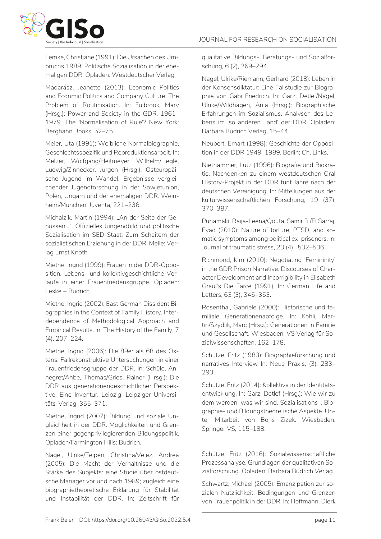

Lemke, Christiane (1991): Die Ursachen des Umbruchs 1989. Politische Sozialisation in der ehemaligen DDR. Opladen: Westdeutscher Verlag.

Madarász, Jeanette (2013): Economic Politics and Econmic Politics and Company Culture. The Problem of Routinisation. In: Fulbrook, Mary (Hrsg.): Power and Society in the GDR, 1961– 1979. The 'Normalisation of Rule'? New York: Berghahn Books, 52–75.

Meier, Uta (1991): Weibliche Normalbiographie, Geschlechtsspezifik und Reproduktionsarbeit. In: Melzer, Wolfgang/Heitmeyer, Wilhelm/Liegle, Ludwig/Zinnecker, Jürgen (Hrsg.): Osteuropäische Jugend im Wandel. Ergebnisse vergleichender Jugendforschung in der Sowjetunion, Polen, Ungarn und der ehemaligen DDR. Weinheim/München: Juventa, 221–236.

Michalzik, Martin (1994): "An der Seite der Genossen…". Offizielles Jungendbild und politische Sozialisation im SED-Staat. Zum Scheitern der sozialistischen Erziehung in der DDR. Melle: Verlag Ernst Knoth.

Miethe, Ingrid (1999): Frauen in der DDR-Opposition. Lebens- und kollektivgeschichtliche Verläufe in einer Frauenfriedensgruppe. Opladen: Leske + Budrich.

Miethe, Ingrid (2002): East German Dissident Biographies in the Context of Family History. Interdependence of Methodological Approach and Empirical Results. In: The History of the Family, 7 (4), 207–224.

Miethe, Ingrid (2006): Die 89er als 68 des Ostens. Fallrekonstruktive Untersuchungen in einer Frauenfriedensgruppe der DDR. In: Schüle, Annegret/Ahbe, Thomas/Gries, Rainer (Hrsg.): Die DDR aus generationengeschichtlicher Perspektive. Eine Inventur. Leipzig: Leipziger Universitäts-Verlag, 355–371.

Miethe, Ingrid (2007): Bildung und soziale Ungleichheit in der DDR. Möglichkeiten und Grenzen einer gegenprivilegierenden Bildungspolitik. Opladen/Farmington Hills: Budrich.

Nagel, Ulrike/Teipen, Christina/Velez, Andrea (2005): Die Macht der Verhältnisse und die Stärke des Subjekts: eine Studie über ostdeutsche Manager vor und nach 1989; zugleich eine biographietheoretische Erklärung für Stabilität und Instabilität der DDR. In: Zeitschrift für qualitative Bildungs-, Beratungs- und Sozialforschung, 6 (2), 269–294.

Nagel, Ulrike/Riemann, Gerhard (2018): Leben in der Konsensdiktatur: Eine Fallstudie zur Biographie von Gabi Friedrich. In: Garz, Detlef/Nagel, Ulrike/Wildhagen, Anja (Hrsg.): Biographische Erfahrungen im Sozialismus. Analysen des Lebens im ,so anderen Land' der DDR. Opladen: Barbara Budrich Verlag, 15–44.

Neubert, Erhart (1998): Geschichte der Opposition in der DDR 1949–1989. Berlin: Ch. Links.

Niethammer, Lutz (1996): Biografie und Biokratie. Nachdenken zu einem westdeutschen Oral History-Projekt in der DDR fünf Jahre nach der deutschen Vereinigung. In: Mitteilungen aus der kulturwissenschaftlichen Forschung, 19 (37), 370–387.

Punamäki, Raija-Leena/Qouta, Samir R./El Sarraj, Eyad (2010): Nature of torture, PTSD, and somatic symptoms among political ex-prisoners. In: Journal of traumatic stress, 23 (4), 532–536.

Richmond, Kim (2010): Negotiating 'Femininity' in the GDR Prison Narrative: Discourses of Character Development and Incorrigibility in Elisabeth Graul's Die Farce (1991). In: German Life and Letters, 63 (3), 345–353.

Rosenthal, Gabriele (2000): Historische und familiale Generationenabfolge. In: Kohli, Martin/Szydlik, Marc (Hrsg.): Generationen in Familie und Gesellschaft. Wiesbaden: VS Verlag für Sozialwissenschaften, 162–178.

Schütze, Fritz (1983): Biographieforschung und narratives Interview In: Neue Praxis, (3), 283– 293.

Schütze, Fritz (2014): Kollektiva in der Identitätsentwicklung. In: Garz, Detlef (Hrsg.): Wie wir zu dem werden, was wir sind. Sozialisations-, Biographie- und Bildungstheoretische Aspekte. Unter Mitarbeit von Boris Zizek. Wiesbaden: Springer VS, 115–188.

Schütze, Fritz (2016): Sozialwissenschaftliche Prozessanalyse. Grundlagen der qualitativen Sozialforschung. Opladen: Barbara Budrich Verlag.

Schwartz, Michael (2005): Emanzipation zur sozialen Nützlichkeit: Bedingungen und Grenzen von Frauenpolitik in der DDR. In: Hoffmann, Dierk